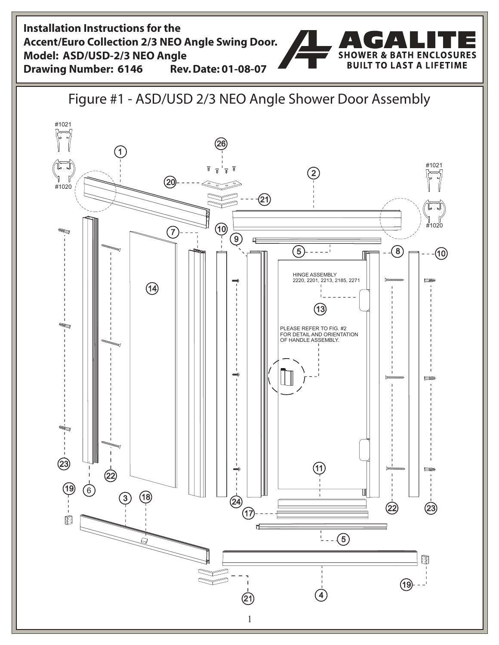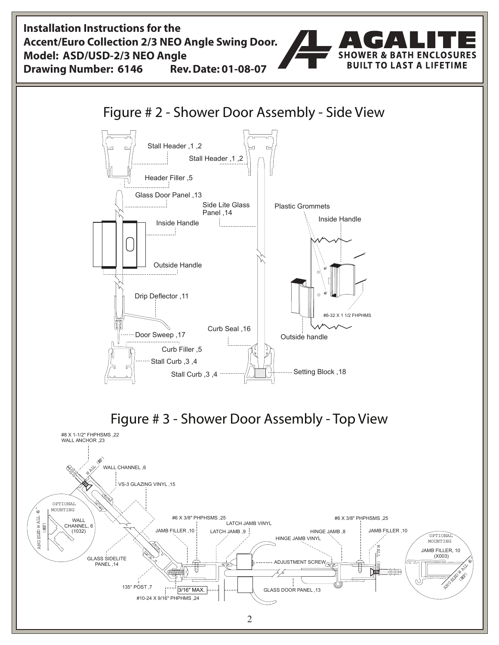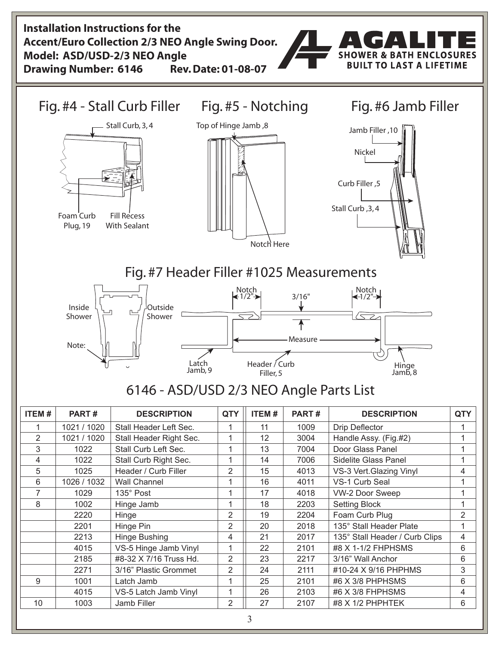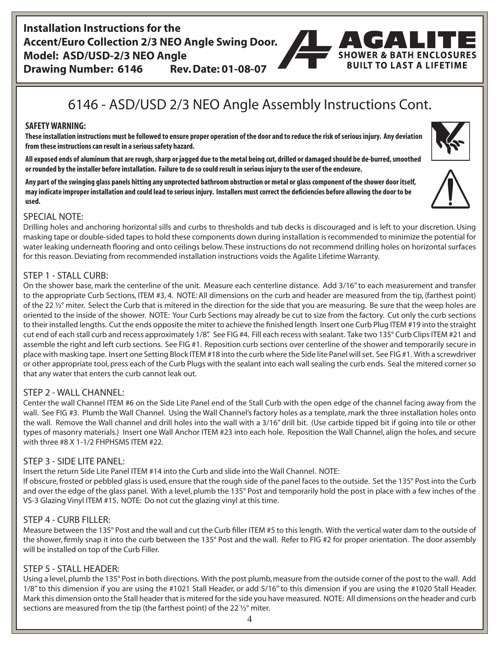### **Installation Instructions for the Accent/Euro Collection 2/3 NEO Angle Swing Door. Model: ASD/USD-2/3 NEO Angle Drawing Number: 6146 Rev. Date: 01-08-07**



# 6146 - ASD/USD 2/3 NEO Angle Assembly Instructions Cont.

#### **SAFETY WARNING:**

**These installation instructions must be followed to ensure proper operation of the door and to reduce the risk of serious injury. Any deviation from these instructions can result in a serious safety hazard.**

**All exposed ends of aluminum that are rough, sharp or jagged due to the metal being cut, drilled or damaged should be de-burred, smoothed or rounded by the installer before installation. Failure to do so could result in serious injury to the user of the enclosure.**

**Any part of the swinging glass panels hitting any unprotected bathroom obstruction or metal or glass component of the shower door itself, may indicate improper installation and could lead to serious injury. Installers must correct the deficiencies before allowing the door to be used.**

#### SPECIAL NOTE:

Drilling holes and anchoring horizontal sills and curbs to thresholds and tub decks is discouraged and is left to your discretion. Using masking tape or double-sided tapes to hold these components down during installation is recommended to minimize the potential for water leaking underneath flooring and onto ceilings below. These instructions do not recommend drilling holes on horizontal surfaces for this reason. Deviating from recommended installation instructions voids the Agalite Lifetime Warranty.

#### $STFP 1 - STAIL CURB:$

On the shower base, mark the centerline of the unit. Measure each centerline distance. Add 3/16" to each measurement and transfer to the appropriate Curb Sections, ITEM #3, 4. NOTE: All dimensions on the curb and header are measured from the tip, (farthest point) of the 22  $\frac{1}{2}$ ° miter. Select the Curb that is mitered in the direction for the side that you are measuring. Be sure that the weep holes are oriented to the inside of the shower. NOTE: Your Curb Sections may already be cut to size from the factory. Cut only the curb sections to their installed lengths. Cut the ends opposite the miter to achieve the finished length Insert one Curb Plug ITEM #19 into the straight cut end of each stall curb and recess approximately 1/8". See FIG #4. Fill each recess with sealant. Take two 135° Curb Clips ITEM #21 and assemble the right and left curb sections. See FIG #1. Reposition curb sections over centerline of the shower and temporarily secure in place with masking tape. Insert one Setting Block ITEM #18 into the curb where the Side lite Panel will set. See FIG #1. With a screwdriver or other appropriate tool, press each of the Curb Plugs with the sealant into each wall sealing the curb ends. Seal the mitered corner so that any water that enters the curb cannot leak out.

#### STEP 2 - WALL CHANNEL:

Center the wall Channel ITEM #6 on the Side Lite Panel end of the Stall Curb with the open edge of the channel facing away from the wall. See FIG #3. Plumb the Wall Channel. Using the Wall Channel's factory holes as a template, mark the three installation holes onto the wall. Remove the Wall channel and drill holes into the wall with a 3/16" drill bit. (Use carbide tipped bit if going into tile or other types of masonry materials.) Insert one Wall Anchor ITEM #23 into each hole. Reposition the Wall Channel, align the holes, and secure with three #8 X 1-1/2 FHPHSMS ITEM #22.

#### STEP 3 - SIDE LITE PANEL:

Insert the return Side Lite Panel ITEM #14 into the Curb and slide into the Wall Channel. NOTE:

If obscure, frosted or pebbled glass is used, ensure that the rough side of the panel faces to the outside. Set the 135° Post into the Curb and over the edge of the glass panel. With a level, plumb the 135° Post and temporarily hold the post in place with a few inches of the VS-3 Glazing Vinyl ITEM #15. NOTE: Do not cut the glazing vinyl at this time.

#### STEP 4 - CURB FILLER:

Measure between the 135° Post and the wall and cut the Curb filler ITEM #5 to this length. With the vertical water dam to the outside of the shower, firmly snap it into the curb between the 135° Post and the wall. Refer to FIG #2 for proper orientation. The door assembly will be installed on top of the Curb Filler.

#### STEP 5 - STALL HEADER:

Using a level, plumb the 135° Post in both directions. With the post plumb, measure from the outside corner of the post to the wall. Add 1/8" to this dimension if you are using the #1021 Stall Header, or add 5/16" to this dimension if you are using the #1020 Stall Header. Mark this dimension onto the Stall header that is mitered for the side you have measured. NOTE: All dimensions on the header and curb sections are measured from the tip (the farthest point) of the 22 ½° miter.





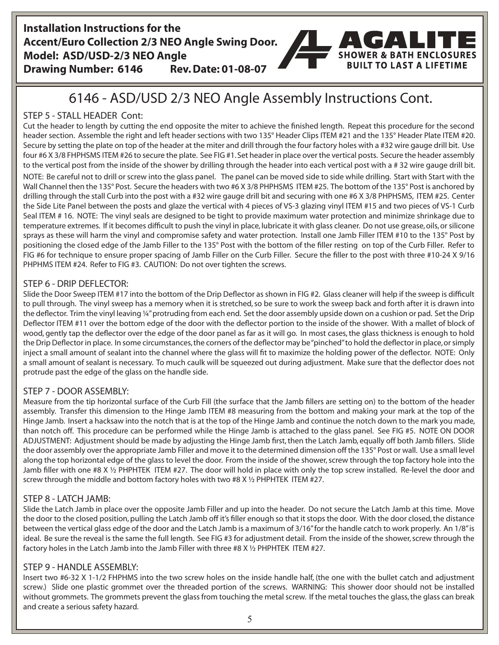### **Installation Instructions for the Accent/Euro Collection 2/3 NEO Angle Swing Door. Model: ASD/USD-2/3 NEO Angle Drawing Number: 6146 Rev. Date: 01-08-07**



## 6146 - ASD/USD 2/3 NEO Angle Assembly Instructions Cont.

### STEP 5 - STALL HEADER Cont:

Cut the header to length by cutting the end opposite the miter to achieve the finished length. Repeat this procedure for the second header section. Assemble the right and left header sections with two 135° Header Clips ITEM #21 and the 135° Header Plate ITEM #20. Secure by setting the plate on top of the header at the miter and drill through the four factory holes with a #32 wire gauge drill bit. Use four #6 X 3/8 FHPHSMS ITEM #26 to secure the plate. See FIG #1. Set header in place over the vertical posts. Secure the header assembly to the vertical post from the inside of the shower by drilling through the header into each vertical post with a # 32 wire gauge drill bit. NOTE: Be careful not to drill or screw into the glass panel. The panel can be moved side to side while drilling. Start with Start with the Wall Channel then the 135° Post. Secure the headers with two #6 X 3/8 PHPHSMS ITEM #25. The bottom of the 135° Post is anchored by drilling through the stall Curb into the post with a #32 wire gauge drill bit and securing with one #6 X 3/8 PHPHSMS, ITEM #25. Center the Side Lite Panel between the posts and glaze the vertical with 4 pieces of VS-3 glazing vinyl ITEM #15 and two pieces of VS-1 Curb Seal ITEM # 16. NOTE: The vinyl seals are designed to be tight to provide maximum water protection and minimize shrinkage due to temperature extremes. If it becomes difficult to push the vinyl in place, lubricate it with glass cleaner. Do not use grease, oils, or silicone sprays as these will harm the vinyl and compromise safety and water protection. Install one Jamb Filler ITEM #10 to the 135° Post by positioning the closed edge of the Jamb Filler to the 135° Post with the bottom of the filler resting on top of the Curb Filler. Refer to FIG #6 for technique to ensure proper spacing of Jamb Filler on the Curb Filler. Secure the filler to the post with three #10-24 X 9/16 PHPHMS ITEM #24. Refer to FIG #3. CAUTION: Do not over tighten the screws.

#### STEP 6 - DRIP DEFLECTOR:

Slide the Door Sweep ITEM #17 into the bottom of the Drip Deflector as shown in FIG #2. Glass cleaner will help if the sweep is difficult to pull through. The vinyl sweep has a memory when it is stretched, so be sure to work the sweep back and forth after it is drawn into the deflector. Trim the vinyl leaving ¼" protruding from each end. Set the door assembly upside down on a cushion or pad. Set the Drip Deflector ITEM #11 over the bottom edge of the door with the deflector portion to the inside of the shower. With a mallet of block of wood, gently tap the deflector over the edge of the door panel as far as it will go. In most cases, the glass thickness is enough to hold the Drip Deflector in place. In some circumstances, the corners of the deflector may be "pinched" to hold the deflector in place, or simply inject a small amount of sealant into the channel where the glass will fit to maximize the holding power of the deflector. NOTE: Only a small amount of sealant is necessary. To much caulk will be squeezed out during adjustment. Make sure that the deflector does not protrude past the edge of the glass on the handle side.

#### STEP 7 - DOOR ASSEMBLY:

Measure from the tip horizontal surface of the Curb Fill (the surface that the Jamb fillers are setting on) to the bottom of the header assembly. Transfer this dimension to the Hinge Jamb ITEM #8 measuring from the bottom and making your mark at the top of the Hinge Jamb. Insert a hacksaw into the notch that is at the top of the Hinge Jamb and continue the notch down to the mark you made, than notch off. This procedure can be performed while the Hinge Jamb is attached to the glass panel. See FIG #5. NOTE ON DOOR ADJUSTMENT: Adjustment should be made by adjusting the Hinge Jamb first, then the Latch Jamb, equally off both Jamb fillers. Slide the door assembly over the appropriate Jamb Filler and move it to the determined dimension off the 135° Post or wall. Use a small level along the top horizontal edge of the glass to level the door. From the inside of the shower, screw through the top factory hole into the Jamb filler with one #8 X ½ PHPHTEK ITEM #27. The door will hold in place with only the top screw installed. Re-level the door and screw through the middle and bottom factory holes with two #8 X ½ PHPHTEK ITEM #27.

#### STEP 8 - LATCH JAMB:

Slide the Latch Jamb in place over the opposite Jamb Filler and up into the header. Do not secure the Latch Jamb at this time. Move the door to the closed position, pulling the Latch Jamb off it's filler enough so that it stops the door. With the door closed, the distance between the vertical glass edge of the door and the Latch Jamb is a maximum of 3/16" for the handle catch to work properly. An 1/8" is ideal. Be sure the reveal is the same the full length. See FIG #3 for adjustment detail. From the inside of the shower, screw through the factory holes in the Latch Jamb into the Jamb Filler with three #8 X 1/2 PHPHTEK ITEM #27.

#### STEP 9 - HANDLE ASSEMBLY:

Insert two #6-32 X 1-1/2 FHPHMS into the two screw holes on the inside handle half, (the one with the bullet catch and adjustment screw.) Slide one plastic grommet over the threaded portion of the screws. WARNING: This shower door should not be installed without grommets. The grommets prevent the glass from touching the metal screw. If the metal touches the glass, the glass can break and create a serious safety hazard.